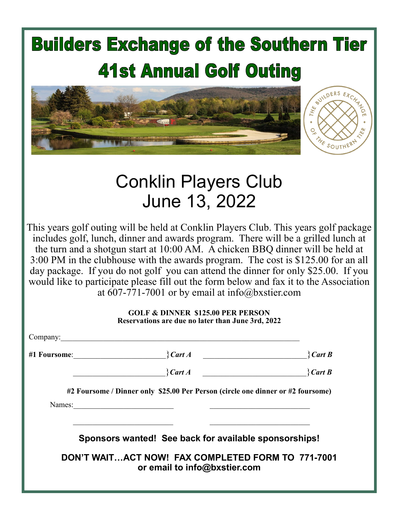## **Builders Exchange of the Southern Tier 41st Annual Golf Outing** EXCHANG



## Conklin Players Club June 13, 2022

This years golf outing will be held at Conklin Players Club. This years golf package includes golf, lunch, dinner and awards program. There will be a grilled lunch at the turn and a shotgun start at 10:00 AM. A chicken BBQ dinner will be held at 3:00 PM in the clubhouse with the awards program. The cost is \$125.00 for an all day package. If you do not golf you can attend the dinner for only \$25.00. If you would like to participate please fill out the form below and fax it to the Association at 607-771-7001 or by email at info@bxstier.com

## **GOLF & DINNER \$125.00 PER PERSON Reservations are due no later than June 3rd, 2022**

| Company: |                                                                                                                       |                         |
|----------|-----------------------------------------------------------------------------------------------------------------------|-------------------------|
|          | $\int \mathcal{C}$ art A<br>#1 Foursome:                                                                              | $\operatorname{Cart} B$ |
|          | $\}$ Cart A                                                                                                           | $\}$ Cart B             |
|          | #2 Foursome / Dinner only \$25.00 Per Person (circle one dinner or #2 foursome)                                       |                         |
| Names:   | <u> 1989 - Johann Harry Harry Harry Harry Harry Harry Harry Harry Harry Harry Harry Harry Harry Harry Harry Harry</u> |                         |
|          |                                                                                                                       |                         |
|          | Sponsors wanted! See back for available sponsorships!                                                                 |                         |
|          | DON'T WAITACT NOW! FAX COMPLETED FORM TO 771-7001<br>or email to info@bxstier.com                                     |                         |
|          |                                                                                                                       |                         |